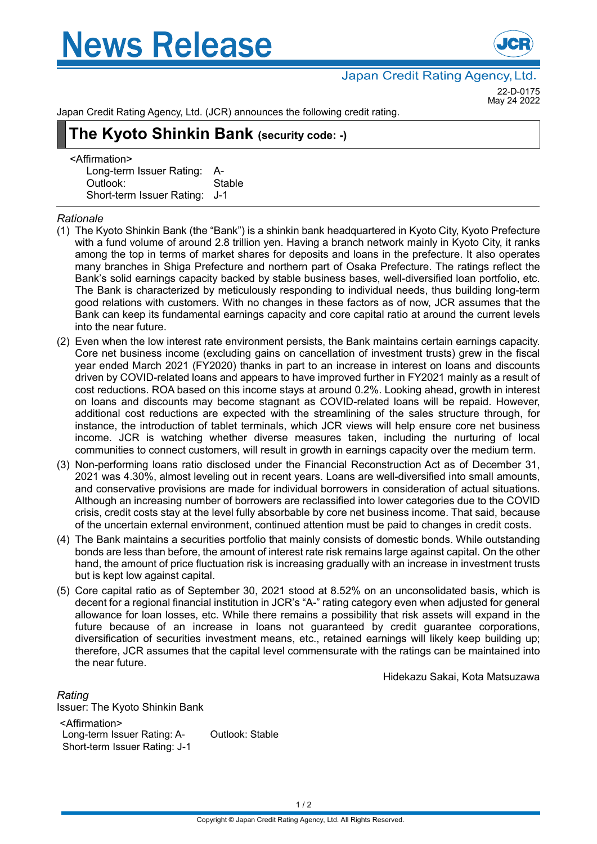# **News Release**



Japan Credit Rating Agency, Ltd.

22-D-0175 May 24 2022

Japan Credit Rating Agency, Ltd. (JCR) announces the following credit rating.

# **The Kyoto Shinkin Bank (security code: -)**

<Affirmation> Long-term Issuer Rating: A-Outlook: Stable Short-term Issuer Rating: J-1

## *Rationale*

- (1) The Kyoto Shinkin Bank (the "Bank") is a shinkin bank headquartered in Kyoto City, Kyoto Prefecture with a fund volume of around 2.8 trillion yen. Having a branch network mainly in Kyoto City, it ranks among the top in terms of market shares for deposits and loans in the prefecture. It also operates many branches in Shiga Prefecture and northern part of Osaka Prefecture. The ratings reflect the Bank's solid earnings capacity backed by stable business bases, well-diversified loan portfolio, etc. The Bank is characterized by meticulously responding to individual needs, thus building long-term good relations with customers. With no changes in these factors as of now, JCR assumes that the Bank can keep its fundamental earnings capacity and core capital ratio at around the current levels into the near future.
- (2) Even when the low interest rate environment persists, the Bank maintains certain earnings capacity. Core net business income (excluding gains on cancellation of investment trusts) grew in the fiscal year ended March 2021 (FY2020) thanks in part to an increase in interest on loans and discounts driven by COVID-related loans and appears to have improved further in FY2021 mainly as a result of cost reductions. ROA based on this income stays at around 0.2%. Looking ahead, growth in interest on loans and discounts may become stagnant as COVID-related loans will be repaid. However, additional cost reductions are expected with the streamlining of the sales structure through, for instance, the introduction of tablet terminals, which JCR views will help ensure core net business income. JCR is watching whether diverse measures taken, including the nurturing of local communities to connect customers, will result in growth in earnings capacity over the medium term.
- (3) Non-performing loans ratio disclosed under the Financial Reconstruction Act as of December 31, 2021 was 4.30%, almost leveling out in recent years. Loans are well-diversified into small amounts, and conservative provisions are made for individual borrowers in consideration of actual situations. Although an increasing number of borrowers are reclassified into lower categories due to the COVID crisis, credit costs stay at the level fully absorbable by core net business income. That said, because of the uncertain external environment, continued attention must be paid to changes in credit costs.
- (4) The Bank maintains a securities portfolio that mainly consists of domestic bonds. While outstanding bonds are less than before, the amount of interest rate risk remains large against capital. On the other hand, the amount of price fluctuation risk is increasing gradually with an increase in investment trusts but is kept low against capital.
- (5) Core capital ratio as of September 30, 2021 stood at 8.52% on an unconsolidated basis, which is decent for a regional financial institution in JCR's "A-" rating category even when adjusted for general allowance for loan losses, etc. While there remains a possibility that risk assets will expand in the future because of an increase in loans not guaranteed by credit guarantee corporations, diversification of securities investment means, etc., retained earnings will likely keep building up; therefore, JCR assumes that the capital level commensurate with the ratings can be maintained into the near future.

Hidekazu Sakai, Kota Matsuzawa

*Rating* Issuer: The Kyoto Shinkin Bank <Affirmation> Long-term Issuer Rating: A- Outlook: Stable Short-term Issuer Rating: J-1